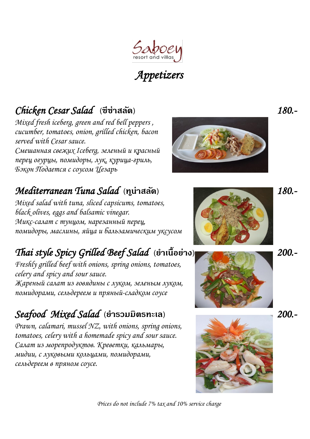

# Appetizers

## Chicken Cesar Salad **(ซีซ่าสลัด)** 180.-

Mixed fresh iceberg, green and red bell peppers , cucumber, tomatoes, onion, grilled chicken, bacon served with Cesar sauce.

ǿмешанная свежих Iceberg, зеленый и красный перец огурцы, помидоры, лук, курица-гриль, Бэкон Подается с соусом Цезарь

### Mediterranean Tuna Salad **(ทูน่าสลัด)** 180.-

Mixed salad with tuna, sliced capsicums, tomatoes, black olives, eggs and balsamic vinegar. Микс-салат с тунцом, нарезанный перец, помидоры, маслины, яйца и бальзамическим уксусом

# Thai style Spicy Grilled Beef Salad **(ย าเนื้อย่าง)** 200.-

Freshly grilled beef with onions, spring onions, tomatoes, celery and spicy and sour sauce. Жареный салат из говядины с луком, зеленым луком, помидорами, сельдереем и пряный-сладком соусе

#### Seafood Mixed Salad **(ย ารวมมิตรทะเล)** 200.-

Prawn, calamari, mussel NZ, with onions, spring onions, tomatoes, celery with a homemade spicy and sour sauce. ǿалат из морепродуктов. Креветки, кальмары, мидии, с луковыми кольцами, помидорами, сельдереем в пряном соусе.







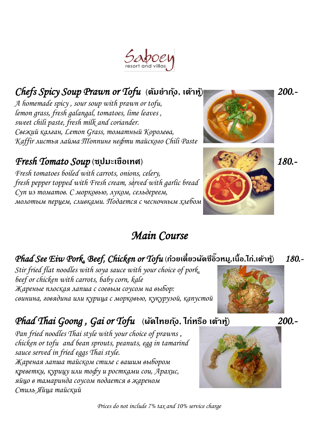#### Chefs Spicy Soup Prawn or Tofu **(ต้มย าก ุ้ง, เต้าหู้)** 200.-

A homemade spicy , sour soup with prawn or tofu, lemon grass, fresh galangal, tomatoes, lime leaves , sweet chili paste, fresh milk and coriander. ǿвежий калган, Lemon Grass, томатный Королева, Kaffir листья лайма *П*оппинг нефти тайского Chili Paste

#### Fresh Tomato Soup **(ซ ุปมะเขือเทศ)** 180.-

Fresh tomatoes boiled with carrots, onions, celery, fresh pepper topped with Fresh cream, served with garlic bread ǿуп из томатов. ǿ морковью, луком, сельдереем, молотым перцем, сливками. Подается с чесночным хлебом

# Main Course

#### Phad See Eiw Pork, Beef, Chicken or Tofu **(กว๋ ยเตี๋ยวผดัซีอิ๊ วหม,ูเน้ือ,ไก,่เต้าหู้)** 180.-

Stir fried flat noodles with soya sauce with your choice of pork, beef or chicken with carrots, baby corn, kale Жареные плоская лапша с соевым соусом на выбор: свинина, говядина или курица с морковью, кукурузой, капустой

#### Phad Thai Goong , Gai or Tofu **(ผัดไทยก ุ้ง, ไก่หรือ เต้าหู้)** 200.-

Pan fried noodles Thai style with your choice of prawns , chicken or tofu and bean sprouts, peanuts, egg in tamarind sauce served in fried eggs Thai style. Жареная лапша тайском стиле с вашим выбором креветки, курицу или тофу и ростками сои, Арахис, яйцо в тамаринда соусом подается в жареном Стиль Яйца тайский









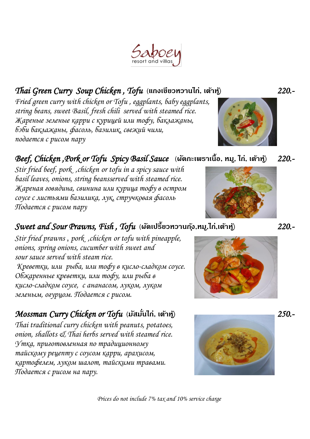#### Thai Green Curry Soup Chicken , Tofu **(แกงเขียวหวานไก่, เต้าหู้)** 220.-

Fried green curry with chicken or Tofu , eggplants, baby eggplants, string beans, sweet Basil, fresh chili served with steamed rice. Жареные зеленые карри с курицей или тофу, баклажаны, бэби баклажаны, фасоль, базилик, свежий чили, подается с рисом пару

#### Beef, Chicken ,Pork or Tofu Spicy Basil Sauce **(ผัดกะเพราเนื้อ, หมู, ไก่, เต้าหู้)** 220.-

Stir fried beef, pork , chicken or tofu in a spicy sauce with basil leaves, onions, string beansserved with steamed rice. Жареная говядина, свинина или курица тофу в остром соусе с листьями базилика, лук, стручковая фасоль Подается с рисом пару

#### Sweet and Sour Prawns, Fish , Tofu **(ผัดเปรี้ยวหวานก ุ้ง,หมู,ไก่,เต้าหู้)** 220.-

Stir fried prawns, pork chicken or tofu with pineapple, onions, spring onions, cucumber with sweet and sour sauce served with steam rice. Креветки, или рыба, или тофу в кисло-сладком соусе. Обжаренные креветки, или тофу, или рыба в кисло-сладком соусе, с ананасом, луком, луком зеленым, огурцом. Подается с рисом.

#### Mossman Curry Chicken or Tofu **(มัสมั่นไก่, เต้าหู้)** 250.-

Thai traditional curry chicken with peanuts, potatoes, onion, shallots & Thai herbs served with steamed rice. ȁтка, приготовленная по традиционному тайскому рецепту с соусом карри, арахисом, картофелем, луком шалот, тайскими травами. Подается с рисом на пару.











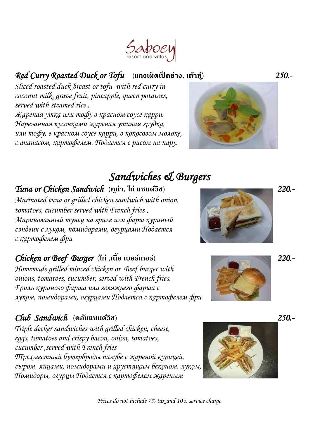#### Red Curry Roasted Duck or Tofu **(แกงเผ็ดเป็ ดย่าง, เต้าหู้)** 250.-

Sliced roasted duck breast or tofu with red curry in coconut milk, grave fruit, pineapple, queen potatoes, served with steamed rice .

Жареная утка или тофу в красном соусе карри. Нарезанная кусочками жареная утиная грудка, или тофу, в красном соусе карри, в кокосовом молоке, с ананасом, картофелем. Подается с рисом на пару.

# Sandwiches & Burgers Tuna or Chicken Sandwich **(ทูน่า, ไก่ แซนด์วิช)** 220.-

Marinated tuna or grilled chicken sandwich with onion, tomatoes, cucumber served with French fries . Маринованный тунец на гриле или фарш куриный сэндвич с луком, помидорами, огурцами Подается с картофелем фри

#### Chicken or Beef Burger **(ไก่ ,เนื้อ เบอร์เกอร์)** 220.-

Homemade grilled minced chicken or Beef burger with onions, tomatoes, cucumber, served with French fries. Гриль куриного фарша или говяжьего фарша с луком, помидорами, огурцами Подается с картофелем фри

#### Club Sandwich **(คลับแซนด์วิช)** 250.-

Triple decker sandwiches with grilled chicken, cheese, eggs, tomatoes and crispy bacon, onion, tomatoes, cucumber ,served with French fries Ȁрехместный бутерброды палубе с жареной курицей, сыром, яйцами, помидорами и хрустящим беконом, луком, Помидоры, огурцы Подается с картофелем жареным









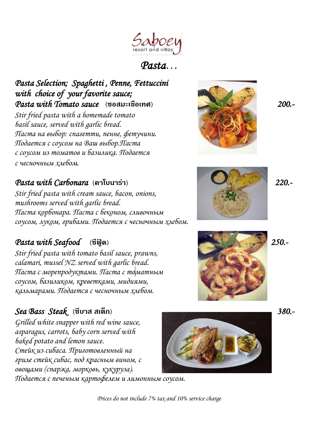

Pasta…

Pasta Selection; Spaghetti , Penne, Fettuccini with choice of your favorite sauce; Pasta with Tomato sauce **(ซอสมะเขือเทศ)** 200.-

Stir fried pasta with a homemade tomato basil sauce, served with garlic bread. Паста на выбор: спагетти, пенне, фетучини. Подается с соусом на Ваш выбор.Паста с соусом из томатов и базилика. Подается с чесночным хлебом.

#### Pasta with Carbonara **(คาโบนาร่า)** 220.-

Stir fried pasta with cream sauce, bacon, onions, mushrooms served with garlic bread. Паста корбонара. Паста с беконом, сливочным соусом, луком, грибами. Подается с чесночным хлебом.

#### Pasta with Seafood **(ซีฟู้ ด)** 250.-

Stir fried pasta with tomato basil sauce, prawns, calamari, mussel NZ served with garlic bread. Паста с морепродуктами. Паста с томатным соусом, базиликом, креветками, мидиями, кальмарами. Подается с чесночным хлебом.

#### Sea Bass Steak **(ซีบาส สเต็ก)** 380.-

Grilled white snapper with red wine sauce, asparagus, carrots, baby corn served with baked potato and lemon sauce. ǿтейк из сибаса. Приготовленный на гриле стейк сибас, под красным вином, с овощами (спаржа, морковь, кукуруза).



Подается с печеным картофелем и лимонным соусом.







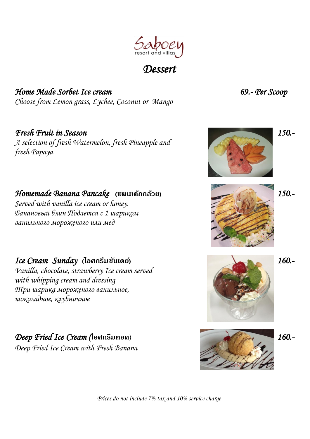

#### **Dessert**

Home Made Sorbet Ice cream 69.- Per Scoop Choose from Lemon grass, Lychee, Coconut or Mango

fresh Papaya

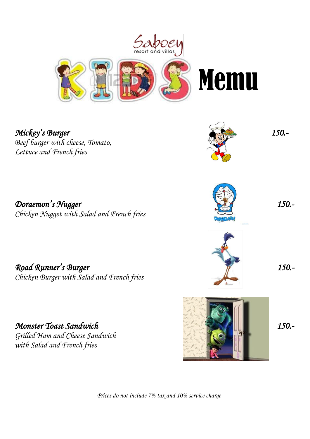

Mickey's Burger 150.-Beef burger with cheese, Tomato, Lettuce and French fries

Doraemon's Nugger 150.-Chicken Nugget with Salad and French fries

Road Runner's Burger 150.-Chicken Burger with Salad and French fries

Monster Toast Sandwich 150.-Grilled Ham and Cheese Sandwich with Salad and French fries

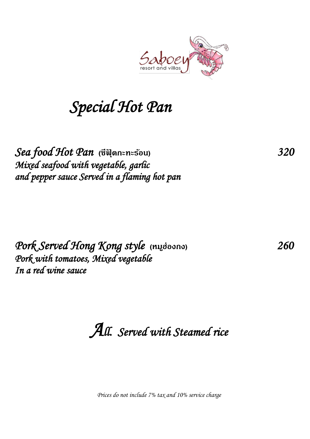

# Special Hot Pan

Sea food Hot Pan **(ซีฟุ้ ดกะทะร้อน)** 320 Mixed seafood with vegetable, garlic and pepper sauce Served in a flaming hot pan

Pork Served Hong Kong style (หมูฮ่องกง)<br>Pork with tomatoes, Mixed vegetable In a red wine sauce

All. Served with Steamed rice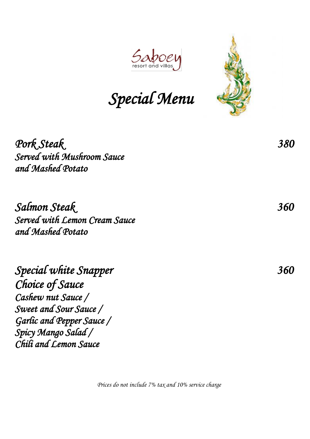

Special Menu

Pork Steak 380<br>Served with Mushroom Sauce and Mashed Potato

Salmon Steak<br>Served with Lemon Cream Sauce<br> and Mashed Potato

Special white Snapper 360 Choice of Sauce Cashew nut Sauce / Sweet and Sour Sauce / Garlic and Pepper Sauce / Spicy Mango Salad / Chili and Lemon Sauce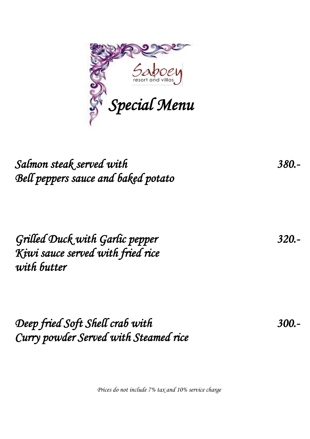

# Salmon steak served with 380.-Bell peppers sauce and baked potato

Grilled Duck with Garlic pepper 320.- Kiwi sauce served with fried rice with butter

Deep fried Soft Shell crab with 300.-Curry powder Served with Steamed rice